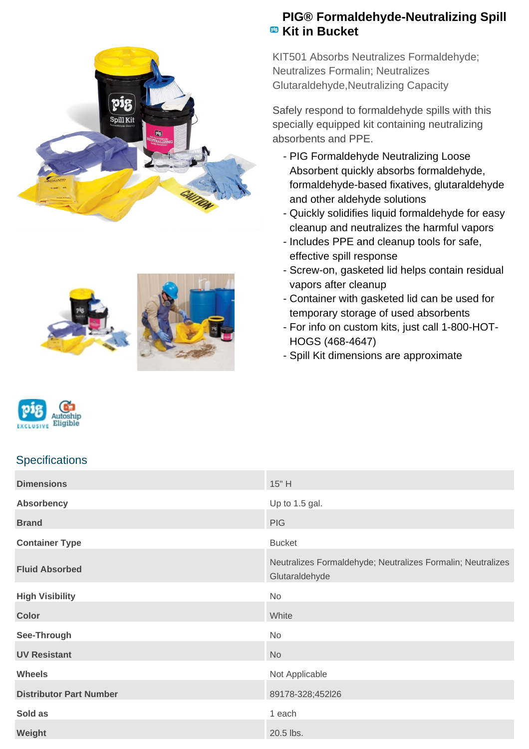





## **PIG® Formaldehyde-Neutralizing Spill EB** Kit in Bucket

KIT501 Absorbs Neutralizes Formaldehyde; Neutralizes Formalin; Neutralizes Glutaraldehyde,Neutralizing Capacity

Safely respond to formaldehyde spills with this specially equipped kit containing neutralizing absorbents and PPE.

- PIG Formaldehyde Neutralizing Loose Absorbent quickly absorbs formaldehyde, formaldehyde-based fixatives, glutaraldehyde and other aldehyde solutions
- Quickly solidifies liquid formaldehyde for easy cleanup and neutralizes the harmful vapors
- Includes PPE and cleanup tools for safe, effective spill response
- Screw-on, gasketed lid helps contain residual vapors after cleanup
- Container with gasketed lid can be used for temporary storage of used absorbents
- For info on custom kits, just call 1-800-HOT-HOGS (468-4647)
- Spill Kit dimensions are approximate

# **Specifications**

Eligible

| <b>Dimensions</b>              | 15" H                                                                         |
|--------------------------------|-------------------------------------------------------------------------------|
| <b>Absorbency</b>              | Up to 1.5 gal.                                                                |
| <b>Brand</b>                   | <b>PIG</b>                                                                    |
| <b>Container Type</b>          | <b>Bucket</b>                                                                 |
| <b>Fluid Absorbed</b>          | Neutralizes Formaldehyde; Neutralizes Formalin; Neutralizes<br>Glutaraldehyde |
| <b>High Visibility</b>         | No                                                                            |
| <b>Color</b>                   | White                                                                         |
| See-Through                    | <b>No</b>                                                                     |
| <b>UV Resistant</b>            | <b>No</b>                                                                     |
| <b>Wheels</b>                  | Not Applicable                                                                |
| <b>Distributor Part Number</b> | 89178-328;452l26                                                              |
| Sold as                        | 1 each                                                                        |
| Weight                         | 20.5 lbs.                                                                     |